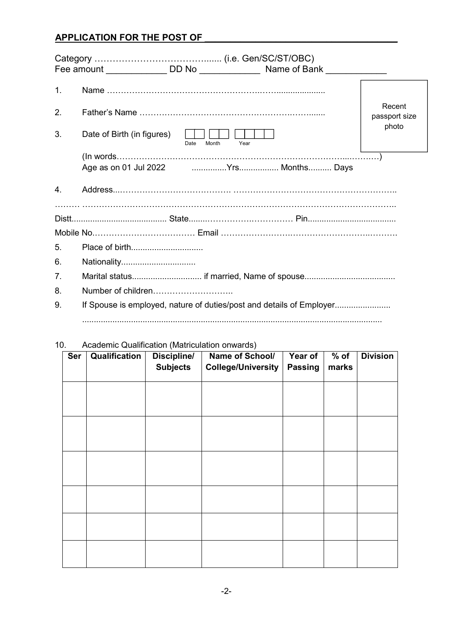# **APPLICATION FOR THE POST OF \_\_\_\_\_\_\_\_\_\_\_\_\_\_\_\_\_\_\_\_\_\_\_\_\_\_\_\_\_\_\_\_\_\_\_\_\_\_**

| 1.             |                                                                      |                       |                                  |
|----------------|----------------------------------------------------------------------|-----------------------|----------------------------------|
| 2.             |                                                                      |                       | Recent<br>passport size<br>photo |
| 3.             | Date of Birth (in figures)                                           | Date<br>Month<br>Year |                                  |
|                | (ln words                                                            |                       |                                  |
| 4.             |                                                                      |                       |                                  |
|                |                                                                      |                       |                                  |
|                |                                                                      |                       |                                  |
| 5.             |                                                                      |                       |                                  |
| 6.             | Nationality                                                          |                       |                                  |
| 7 <sub>1</sub> |                                                                      |                       |                                  |
| 8.             |                                                                      |                       |                                  |
| 9.             | If Spouse is employed, nature of duties/post and details of Employer |                       |                                  |

#### 10. Academic Qualification (Matriculation onwards)

| Ser | Qualification | <b>Discipline/</b><br><b>Subjects</b> | Name of School/<br><b>College/University</b> | Year of<br><b>Passing</b> | $%$ of<br>marks | <b>Division</b> |
|-----|---------------|---------------------------------------|----------------------------------------------|---------------------------|-----------------|-----------------|
|     |               |                                       |                                              |                           |                 |                 |
|     |               |                                       |                                              |                           |                 |                 |
|     |               |                                       |                                              |                           |                 |                 |
|     |               |                                       |                                              |                           |                 |                 |
|     |               |                                       |                                              |                           |                 |                 |
|     |               |                                       |                                              |                           |                 |                 |
|     |               |                                       |                                              |                           |                 |                 |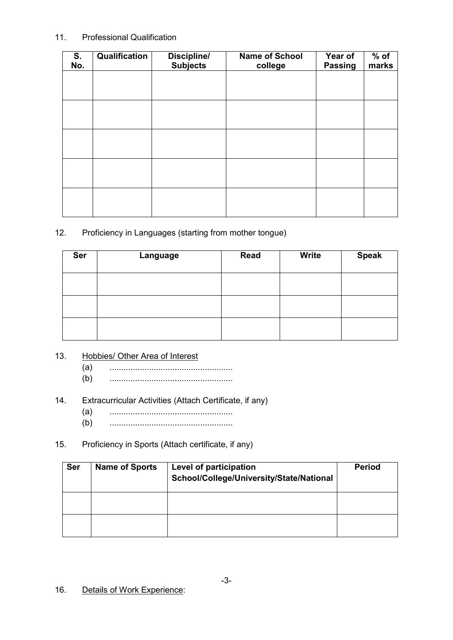#### 11. Professional Qualification

| S.<br>No. | Qualification | <b>Discipline/</b><br><b>Subjects</b> | <b>Name of School</b><br>college | Year of<br>Passing | $%$ of<br>marks |
|-----------|---------------|---------------------------------------|----------------------------------|--------------------|-----------------|
|           |               |                                       |                                  |                    |                 |
|           |               |                                       |                                  |                    |                 |
|           |               |                                       |                                  |                    |                 |
|           |               |                                       |                                  |                    |                 |
|           |               |                                       |                                  |                    |                 |
|           |               |                                       |                                  |                    |                 |
|           |               |                                       |                                  |                    |                 |

#### 12. Proficiency in Languages (starting from mother tongue)

| <b>Ser</b> | Language | <b>Read</b> | <b>Write</b> | <b>Speak</b> |
|------------|----------|-------------|--------------|--------------|
|            |          |             |              |              |
|            |          |             |              |              |
|            |          |             |              |              |

# 13. Hobbies/ Other Area of Interest

- (a) .....................................................
- (b) .....................................................

## 14. Extracurricular Activities (Attach Certificate, if any)

- (a) .....................................................
- (b) .....................................................

### 15. Proficiency in Sports (Attach certificate, if any)

| <b>Ser</b> | <b>Name of Sports</b> | Level of participation<br>School/College/University/State/National | <b>Period</b> |
|------------|-----------------------|--------------------------------------------------------------------|---------------|
|            |                       |                                                                    |               |
|            |                       |                                                                    |               |

16. Details of Work Experience: